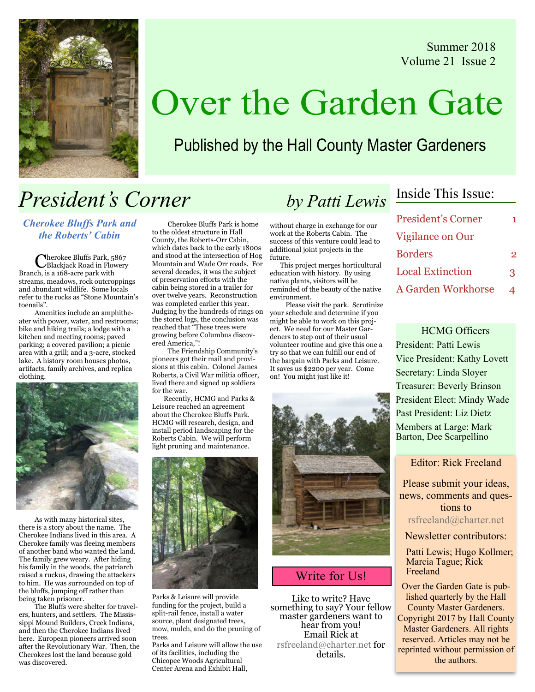Summer 2018 Volume 21 Issue 2



# Over the Garden Gate

# Published by the Hall County Master Gardeners

# President's Corner by Patti Lewis

Cherokee Bluffs Park and the Roberts' Cabin

Cherokee Bluffs Park, 5867 Blackjack Road in Flowery Branch, is a 168-acre park with streams, meadows, rock outcroppings and abundant wildlife. Some locals refer to the rocks as "Stone Mountain's toenails".

Amenities include an amphitheater with power, water, and restrooms; bike and hiking trails; a lodge with a kitchen and meeting rooms; paved parking; a covered pavilion; a picnic area with a grill; and a 3-acre, stocked lake. A history room houses photos, artifacts, family archives, and replica clothing.



As with many historical sites, there is a story about the name. The Cherokee Indians lived in this area. A Cherokee family was fleeing members of another band who wanted the land. The family grew weary. After hiding his family in the woods, the patriarch raised a ruckus, drawing the attackers to him. He was surrounded on top of the bluffs, jumping off rather than being taken prisoner.

The Bluffs were shelter for travelers, hunters, and settlers. The Mississippi Mound Builders, Creek Indians, and then the Cherokee Indians lived here. European pioneers arrived soon after the Revolutionary War. Then, the Cherokees lost the land because gold was discovered.

Cherokee Bluffs Park is home to the oldest structure in Hall County, the Roberts-Orr Cabin, which dates back to the early 1800s and stood at the intersection of Hog Mountain and Wade Orr roads. For several decades, it was the subject of preservation efforts with the cabin being stored in a trailer for over twelve years. Reconstruction was completed earlier this year. Judging by the hundreds of rings on the stored logs, the conclusion was reached that "These trees were growing before Columbus discovered America,"!

The Friendship Community's pioneers got their mail and provisions at this cabin. Colonel James Roberts, a Civil War militia officer, lived there and signed up soldiers for the war.

 Recently, HCMG and Parks & Leisure reached an agreement about the Cherokee Bluffs Park. HCMG will research, design, and install period landscaping for the Roberts Cabin. We will perform light pruning and maintenance.



Parks & Leisure will provide funding for the project, build a split-rail fence, install a water source, plant designated trees, mow, mulch, and do the pruning of trees.

Parks and Leisure will allow the use of its facilities, including the Chicopee Woods Agricultural Center Arena and Exhibit Hall,

without charge in exchange for our work at the Roberts Cabin. The success of this venture could lead to additional joint projects in the future.

 This project merges horticultural education with history. By using native plants, visitors will be reminded of the beauty of the native environment.

Please visit the park. Scrutinize your schedule and determine if you might be able to work on this project. We need for our Master Gardeners to step out of their usual volunteer routine and give this one a try so that we can fulfill our end of the bargain with Parks and Leisure. It saves us \$2200 per year. Come on! You might just like it!



### Write for Us!

Like to write? Have<br>something to say? Your fellow master gardeners want to hear from you! Email Rick at rsfreeland@charter.net for details.

## Inside This Issue:

| <b>President's Corner</b> |              |
|---------------------------|--------------|
| Vigilance on Our          |              |
| <b>Borders</b>            | 2            |
| <b>Local Extinction</b>   | $\mathbf{R}$ |
| A Garden Workhorse        |              |

HCMG Officers

President: Patti Lewis Vice President: Kathy Lovett Secretary: Linda Sloyer Treasurer: Beverly Brinson President Elect: Mindy Wade Past President: Liz Dietz Members at Large: Mark Barton, Dee Scarpellino

Editor: Rick Freeland

Please submit your ideas, news, comments and questions to rsfreeland@charter.net

Newsletter contributors:

Patti Lewis; Hugo Kollmer; Marcia Tague; Rick Freeland

Over the Garden Gate is published quarterly by the Hall County Master Gardeners. Copyright 2017 by Hall County Master Gardeners. All rights reserved. Articles may not be reprinted without permission of the authors.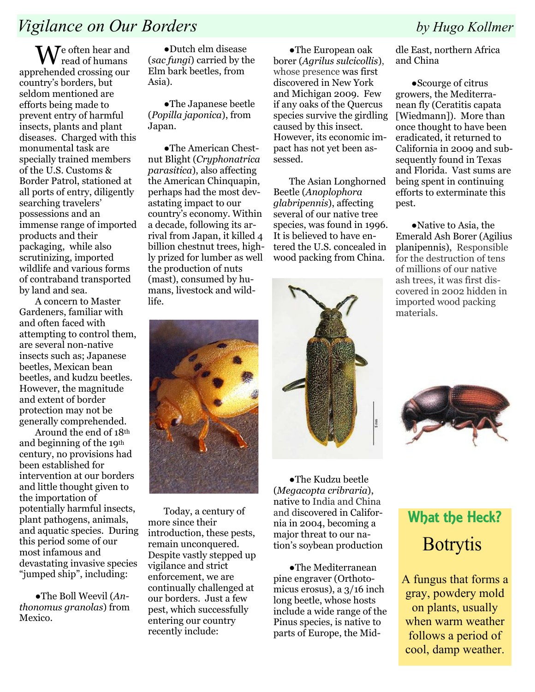# Vigilance on Our Borders by Hugo Kollmer

 $M^e$  often hear and read of humans apprehended crossing our country's borders, but seldom mentioned are efforts being made to prevent entry of harmful insects, plants and plant diseases. Charged with this monumental task are specially trained members of the U.S. Customs & Border Patrol, stationed at all ports of entry, diligently searching travelers' possessions and an immense range of imported products and their packaging, while also scrutinizing, imported wildlife and various forms of contraband transported by land and sea.

A concern to Master Gardeners, familiar with and often faced with attempting to control them, are several non-native insects such as; Japanese beetles, Mexican bean beetles, and kudzu beetles. However, the magnitude and extent of border protection may not be generally comprehended.

Around the end of 18th and beginning of the 19th century, no provisions had been established for intervention at our borders and little thought given to the importation of potentially harmful insects, plant pathogens, animals, and aquatic species. During this period some of our most infamous and devastating invasive species "jumped ship", including:

 $\bullet$ The Boll Weevil (Anthonomus granolas) from Mexico.

●Dutch elm disease (sac fungi) carried by the Elm bark beetles, from Asia).

●The Japanese beetle (Popilla japonica), from Japan.

●The American Chestnut Blight (Cryphonatrica parasitica), also affecting the American Chinquapin, perhaps had the most devastating impact to our country's economy. Within a decade, following its arrival from Japan, it killed 4 billion chestnut trees, highly prized for lumber as well the production of nuts (mast), consumed by humans, livestock and wildlife.



Today, a century of more since their introduction, these pests, remain unconquered. Despite vastly stepped up vigilance and strict enforcement, we are continually challenged at our borders. Just a few pest, which successfully entering our country recently include:

●The European oak borer (Agrilus sulcicollis), whose presence was first discovered in New York and Michigan 2009. Few if any oaks of the Quercus species survive the girdling [Wiedmann]). More than caused by this insect. However, its economic impact has not yet been assessed.

The Asian Longhorned Beetle (Anoplophora glabripennis), affecting several of our native tree species, was found in 1996. It is believed to have entered the U.S. concealed in wood packing from China.



●The Kudzu beetle (Megacopta cribraria), native to India and China and discovered in California in 2004, becoming a major threat to our nation's soybean production

●The Mediterranean pine engraver (Orthotomicus erosus), a 3/16 inch long beetle, whose hosts include a wide range of the Pinus species, is native to parts of Europe, the Middle East, northern Africa and China

●Scourge of citrus growers, the Mediterranean fly (Ceratitis capata once thought to have been eradicated, it returned to California in 2009 and subsequently found in Texas and Florida. Vast sums are being spent in continuing efforts to exterminate this pest.

●Native to Asia, the Emerald Ash Borer (Agilius planipennis), Responsible for the destruction of tens of millions of our native ash trees, it was first discovered in 2002 hidden in imported wood packing materials.



# What the Heck? Botrytis

A fungus that forms a gray, powdery mold on plants, usually when warm weather follows a period of cool, damp weather.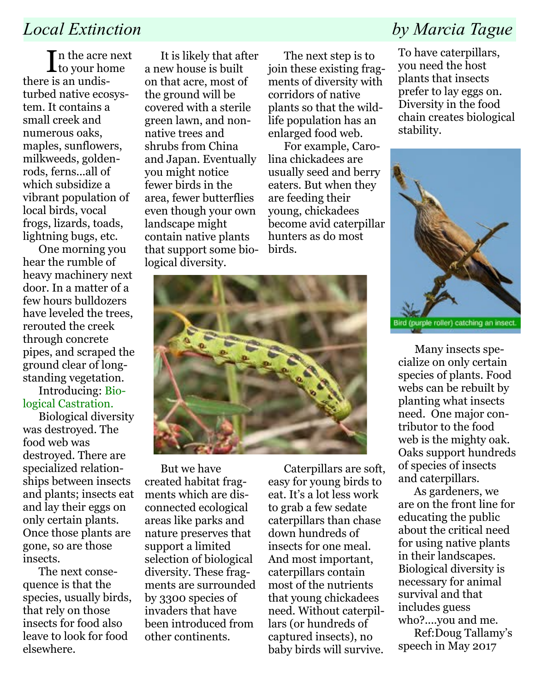# Local Extinction by Marcia Tague

 In the acre next to your home there is an undisturbed native ecosystem. It contains a small creek and numerous oaks, maples, sunflowers, milkweeds, goldenrods, ferns...all of which subsidize a vibrant population of local birds, vocal frogs, lizards, toads, lightning bugs, etc.

One morning you hear the rumble of heavy machinery next door. In a matter of a few hours bulldozers have leveled the trees, rerouted the creek through concrete pipes, and scraped the ground clear of longstanding vegetation.

### Introducing: Biological Castration.

Biological diversity was destroyed. The food web was destroyed. There are specialized relationships between insects and plants; insects eat and lay their eggs on only certain plants. Once those plants are gone, so are those insects.

The next consequence is that the species, usually birds, that rely on those insects for food also leave to look for food elsewhere.

It is likely that after a new house is built on that acre, most of the ground will be covered with a sterile green lawn, and nonnative trees and shrubs from China and Japan. Eventually you might notice fewer birds in the area, fewer butterflies even though your own landscape might contain native plants that support some biological diversity.

The next step is to join these existing fragments of diversity with corridors of native plants so that the wildlife population has an enlarged food web.

For example, Carolina chickadees are usually seed and berry eaters. But when they are feeding their young, chickadees become avid caterpillar hunters as do most birds.



prefer to lay eggs on. Diversity in the food chain creates biological stability.



 Many insects specialize on only certain species of plants. Food webs can be rebuilt by planting what insects need. One major contributor to the food web is the mighty oak. Oaks support hundreds of species of insects and caterpillars.

As gardeners, we are on the front line for educating the public about the critical need for using native plants in their landscapes. Biological diversity is necessary for animal survival and that includes guess who?....you and me.

Ref:Doug Tallamy's speech in May 2017



But we have created habitat fragments which are disconnected ecological areas like parks and nature preserves that support a limited selection of biological diversity. These fragments are surrounded by 3300 species of invaders that have been introduced from other continents.

Caterpillars are soft, easy for young birds to eat. It's a lot less work to grab a few sedate caterpillars than chase down hundreds of insects for one meal. And most important, caterpillars contain most of the nutrients that young chickadees need. Without caterpillars (or hundreds of captured insects), no baby birds will survive.